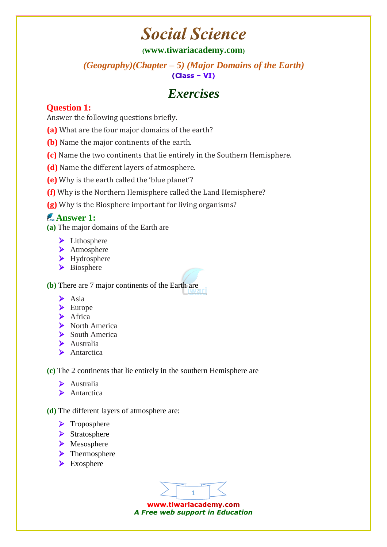# **Social Science**

#### **([www.tiwariacademy.com](http://www.tiwariacademy.com/))**

*(Geography)(Chapter – 5) (Major Domains of the Earth)*   $(Class - VI)$ 

# *Exercises*

### **Question 1:**

Answer the following questions briefly.

- **(a)** What are the four major domains of the earth?
- **(b)** Name the major continents of the earth.
- **(c)** Name the two continents that lie entirely [in](http://www.tiwariacademy.com/) the Southern Hemisphere.
- **(d)** Name the different layers of atmosphere.
- **(e)** Why is the earth called the 'blue planet'?
- **(f)** Why is the Northern Hemisphere called the Land Hemisphere?
- **(g)** Why is the Biosphere important for living organisms?

### **Answer 1:**

- **(a)** The major domains of the Earth are
	- $\blacktriangleright$  Lithosphere
	- > Atmosphere
	- ▶ Hydrosphere
	- > Biosphere

**(b)** There are 7 major continents of the Earth are

- $\triangleright$  Asia
- > Europe
- $\blacktriangleright$  Africa
- North America
- $\triangleright$  South America
- > Australia
- Antarctica

**(c)** The 2 continents that lie entirely [in](http://www.tiwariacademy.com/) the southern Hemisphere are

- Australia
- > Antarctica
- **(d)** The different layers of atmosphere are:
	- > Troposphere
	- Stratosphere
	- Mesosphere
	- > Thermosphere
	- Exosphere

1

www.tiwariacademy.com *A Free web support in Education*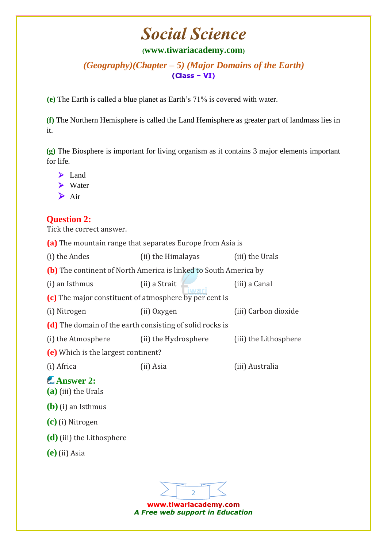# **Social Science**

#### **([www.tiwariacademy.com](http://www.tiwariacademy.com/))**

*(Geography)(Chapter – 5) (Major Domains of the Earth)*   $(Class - VI)$ 

**(e)** The Earth is called a blue planet as Earth's 71% is covered with water.

**(f)** The Northern Hemisphere is called the Land Hemisphere as greater part of landmass lies [in](http://www.tiwariacademy.com/) it.

**(g)** The Biosphere is important for living organism as it contains 3 major elements important for life.

|   | Land  |
|---|-------|
| ⋗ | Water |
|   | Air   |

### **Question 2:**

Tick the correct answer.

**(a)** The mountain range that separates Europe from Asia is

(i) the Andes (ii) the Himalayas (iii) the Urals **(b)** The continent of North America is linked to South America by (i) an Isthmus (ii) a Strait (iii) a Canal **(c)** The major constituent of atmosphere by per cent is (i) Nitrogen (ii) Oxygen (iii) Carbon dioxide **(d)** The domain of the earth consisting of solid rocks is (i) the Atmosphere (ii) the Hydrosphere (iii) the Lithosphere **(e)** Which is the largest continent? (i) Africa (ii) Asia (iii) Australia **Answer 2: (a)** (iii) the Urals **(b)** (i) an Isthmus **(c)** (i) Nitrogen **(d)** (iii) the Lithosphere **(e)** (ii) Asia

2

www.tiwariacademy.com *A Free web support in Education*